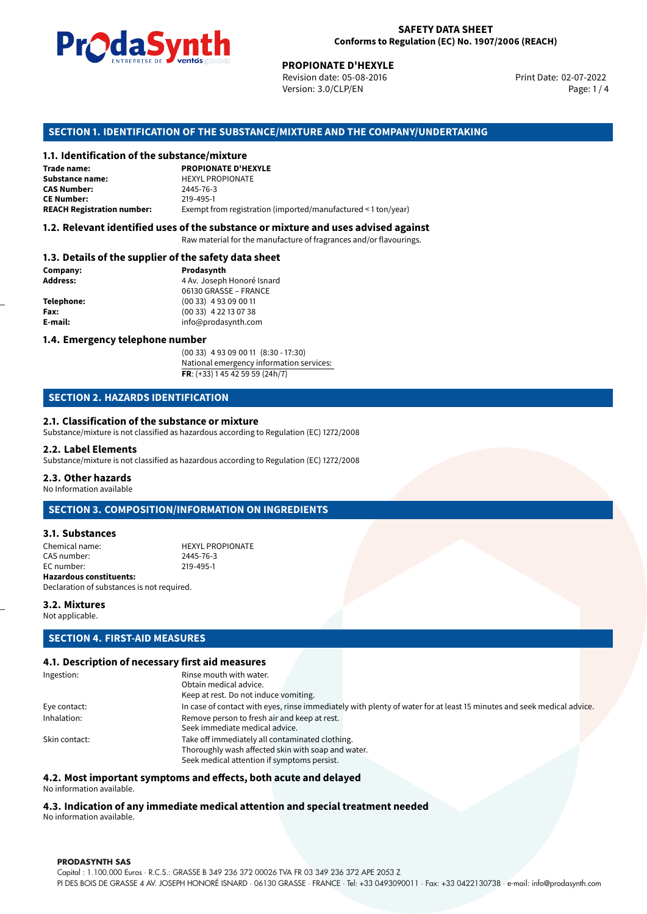

Revision date: 05-08-2016 Version: 3.0/CLP/EN Page: 1 / 4

Print Date: 02-07-2022

### **SECTION 1. IDENTIFICATION OF THE SUBSTANCE/MIXTURE AND THE COMPANY/UNDERTAKING**

#### **1.1. Identification of the substance/mixture**

|                                              | LIVING THE DE <b>DE VOINUS</b> SUSSESSI<br><b>PROPIONATE D'HEXYLE</b><br>Revision date: 05-08-2016<br>Version: 3.0/CLP/EN |
|----------------------------------------------|---------------------------------------------------------------------------------------------------------------------------|
|                                              | SECTION 1. IDENTIFICATION OF THE SUBSTANCE/MIXTURE AND THE COMPANY/U                                                      |
| 1.1. Identification of the substance/mixture |                                                                                                                           |
| Trade name:                                  | <b>PROPIONATE D'HEXYLE</b>                                                                                                |
| Substance name:                              | <b>HEXYL PROPIONATE</b>                                                                                                   |
| <b>CAS Number:</b>                           | 2445-76-3                                                                                                                 |
| <b>CE Number:</b>                            | 219-495-1                                                                                                                 |
| <b>REACH Registration number:</b>            | Exempt from registration (imported/manufactured < 1 ton/year)                                                             |
|                                              |                                                                                                                           |

## **1.2. Relevant identified uses of the substance or mixture and uses advised against**

Raw material for the manufacture of fragrances and/or flavourings.

#### **1.3. Details of the supplier of the safety data sheet**

| Company:          | Prodasynth                 |  |
|-------------------|----------------------------|--|
| <b>Address:</b>   | 4 Av. Joseph Honoré Isnard |  |
|                   | 06130 GRASSE - FRANCE      |  |
| <b>Telephone:</b> | $(0033)$ 4 93 09 00 11     |  |
| Fax:              | $(0033)$ 4 22 13 07 38     |  |
| E-mail:           | info@prodasynth.com        |  |
|                   |                            |  |

#### **1.4. Emergency telephone number**

(00 33) 4 93 09 00 11 (8:30 - 17:30) National emergency information services: **FR**: (+33) 1 45 42 59 59 (24h/7)

# **SECTION 2. HAZARDS IDENTIFICATION**

#### **2.1. Classification of the substance or mixture**

Substance/mixture is not classified as hazardous according to Regulation (EC) 1272/2008

#### **2.2. Label Elements**

Substance/mixture is not classified as hazardous according to Regulation (EC) 1272/2008

#### **2.3. Other hazards**

No Information available

# **SECTION 3. COMPOSITION/INFORMATION ON INGREDIENTS**

#### **3.1. Substances**

Chemical name: HEXYL PROPIONATE CAS number: 2445-76-3<br>EC number: 219-495-1 EC number: **Hazardous constituents:** Declaration of substances is not required.

#### **3.2. Mixtures**

Not applicable.

# **SECTION 4. FIRST-AID MEASURES**

#### **4.1. Description of necessary first aid measures**

| Obtain medical advice.                                                                                                |                         |  |  |
|-----------------------------------------------------------------------------------------------------------------------|-------------------------|--|--|
| Keep at rest. Do not induce vomiting.                                                                                 |                         |  |  |
| In case of contact with eyes, rinse immediately with plenty of water for at least 15 minutes and seek medical advice. |                         |  |  |
| Remove person to fresh air and keep at rest.                                                                          |                         |  |  |
| Seek immediate medical advice.                                                                                        |                         |  |  |
| Take off immediately all contaminated clothing.                                                                       |                         |  |  |
| Thoroughly wash affected skin with soap and water.                                                                    |                         |  |  |
| Seek medical attention if symptoms persist.                                                                           |                         |  |  |
|                                                                                                                       | Rinse mouth with water. |  |  |

#### **4.2. Most important symptoms and effects, both acute and delayed**

No information available.

# **4.3. Indication of any immediate medical attention and special treatment needed**

No information available.

#### **PRODASYNTH SAS**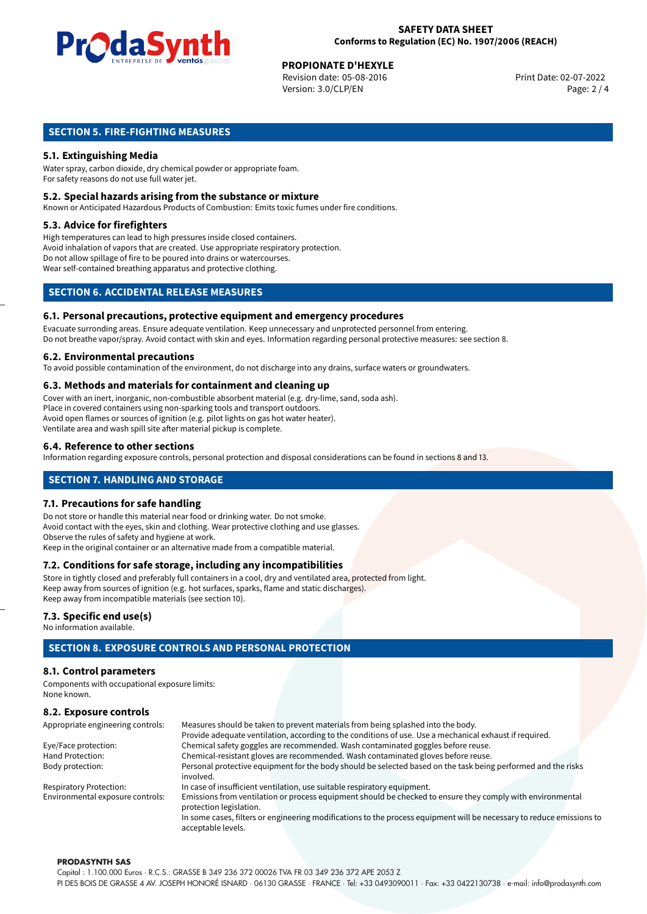

# **PROPIONATE D'HEXYLE**<br>
Revision date: 05-08-2016<br> **Print Date: 02-07-2022**

Revision date: 05-08-2016 Version: 3.0/CLP/EN Page: 2 / 4

# **SECTION 5. FIRE-FIGHTING MEASURES**

# **5.1. Extinguishing Media**

Water spray, carbon dioxide, dry chemical powder or appropriate foam. For safety reasons do not use full water jet.

#### **5.2. Special hazards arising from the substance or mixture**

Known or Anticipated Hazardous Products of Combustion: Emits toxic fumes under fire conditions.

#### **5.3. Advice for firefighters**

High temperatures can lead to high pressures inside closed containers. Avoid inhalation of vapors that are created. Use appropriate respiratory protection. Do not allow spillage of fire to be poured into drains or watercourses. Wear self-contained breathing apparatus and protective clothing.

# **SECTION 6. ACCIDENTAL RELEASE MEASURES**

#### **6.1. Personal precautions, protective equipment and emergency procedures**

Evacuate surronding areas. Ensure adequate ventilation. Keep unnecessary and unprotected personnel from entering. Do not breathe vapor/spray. Avoid contact with skin and eyes. Information regarding personal protective measures: see section 8.

#### **6.2. Environmental precautions**

To avoid possible contamination of the environment, do not discharge into any drains, surface waters or groundwaters.

#### **6.3. Methods and materials for containment and cleaning up**

Cover with an inert, inorganic, non-combustible absorbent material (e.g. dry-lime, sand, soda ash). Place in covered containers using non-sparking tools and transport outdoors. Avoid open flames or sources of ignition (e.g. pilot lights on gas hot water heater). Ventilate area and wash spill site after material pickup is complete.

#### **6.4. Reference to other sections**

Information regarding exposure controls, personal protection and disposal considerations can be found in sections 8 and 13.

# **SECTION 7. HANDLING AND STORAGE**

#### **7.1. Precautions for safe handling**

Do not store or handle this material near food or drinking water. Do not smoke. Avoid contact with the eyes, skin and clothing. Wear protective clothing and use glasses. Observe the rules of safety and hygiene at work. Keep in the original container or an alternative made from a compatible material.

# **7.2. Conditions for safe storage, including any incompatibilities**

Store in tightly closed and preferably full containers in a cool, dry and ventilated area, protected from light. Keep away from sources of ignition (e.g. hot surfaces, sparks, flame and static discharges). Keep away from incompatible materials (see section 10).

#### **7.3. Specific end use(s)**

No information available.

# **SECTION 8. EXPOSURE CONTROLS AND PERSONAL PROTECTION**

#### **8.1. Control parameters**

Components with occupational exposure limits: None known.

# **8.2. Exposure controls**

| Appropriate engineering controls: | Measures should be taken to prevent materials from being splashed into the body.                                                            |  |  |
|-----------------------------------|---------------------------------------------------------------------------------------------------------------------------------------------|--|--|
|                                   | Provide adequate ventilation, according to the conditions of use. Use a mechanical exhaust if required.                                     |  |  |
| Eye/Face protection:              | Chemical safety goggles are recommended. Wash contaminated goggles before reuse.                                                            |  |  |
| Hand Protection:                  | Chemical-resistant gloves are recommended. Wash contaminated gloves before reuse.                                                           |  |  |
| Body protection:                  | Personal protective equipment for the body should be selected based on the task being performed and the risks                               |  |  |
|                                   | involved.                                                                                                                                   |  |  |
| <b>Respiratory Protection:</b>    | In case of insufficient ventilation, use suitable respiratory equipment.                                                                    |  |  |
| Environmental exposure controls:  | Emissions from ventilation or process equipment should be checked to ensure they comply with environmental<br>protection legislation.       |  |  |
|                                   | In some cases, filters or engineering modifications to the process equipment will be necessary to reduce emissions to<br>acceptable levels. |  |  |

#### **PRODASYNTH SAS**

Capital : 1.100.000 Euros · R.C.S.: GRASSE B 349 236 372 00026 TVA FR 03 349 236 372 APE 2053 Z PI DES BOIS DE GRASSE 4 AV. JOSEPH HONORÉ ISNARD · 06130 GRASSE · FRANCE · Tel: +33 0493090011 · Fax: +33 0422130738 · e-mail: info@prodasynth.com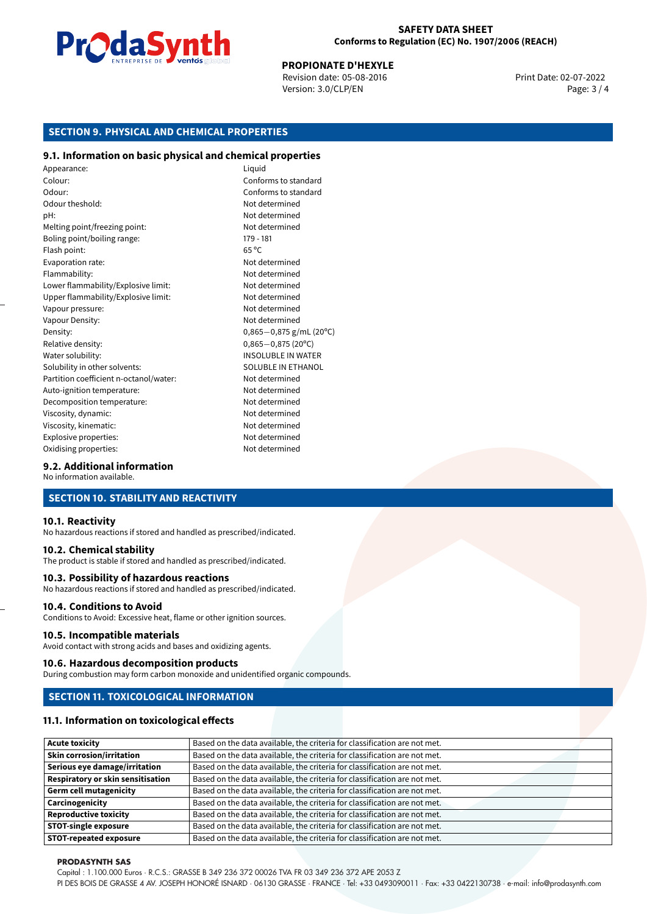

#### **SAFETY DATA SHEET Conforms to Regulation (EC) No. 1907/2006 (REACH)**

# **PROPIONATE D'HEXYLE**<br>
Revision date: 05-08-2016<br> **Print Date: 02-07-2022**

Revision date: 05-08-2016 Version: 3.0/CLP/EN Page: 3 / 4

# **SECTION 9. PHYSICAL AND CHEMICAL PROPERTIES**

#### **9.1. Information on basic physical and chemical properties**

Appearance: Liquid Colour: Conforms to standard Odour: Conforms to standard Odour theshold: Not determined pH: Not determined Melting point/freezing point: Not determined Boling point/boiling range: 179 - 181 Flash point: 65 °C Evaporation rate: Not determined Flammability: Not determined Lower flammability/Explosive limit: Not determined Upper flammability/Explosive limit: Not determined Vapour pressure: Vapour pressure: Not determined Vapour Density: Not determined Density: 0,865−0,875 g/mL (20°C)<br>Relative density: 0,865−0,875 (20°C) Relative density: 0,865−0,875 (20°C)<br>Water solubility: 0,865−0,875 (20°C) Solubility in other solvents: SOLUBLE IN ETHANOL Partition coefficient n-octanol/water: Not determined Auto-ignition temperature: Not determined Decomposition temperature: Not determined Viscosity, dynamic:  $\blacksquare$ Viscosity, kinematic: Not determined Explosive properties: Not determined Oxidising properties: Not determined

**INSOLUBLE IN WATER** 

#### **9.2. Additional information**

No information available.

## **SECTION 10. STABILITY AND REACTIVITY**

#### **10.1. Reactivity**

No hazardous reactions if stored and handled as prescribed/indicated.

#### **10.2. Chemical stability**

The product is stable if stored and handled as prescribed/indicated.

#### **10.3. Possibility of hazardous reactions**

No hazardous reactions if stored and handled as prescribed/indicated.

#### **10.4. Conditions to Avoid**

Conditions to Avoid: Excessive heat, flame or other ignition sources.

#### **10.5. Incompatible materials**

Avoid contact with strong acids and bases and oxidizing agents.

#### **10.6. Hazardous decomposition products**

During combustion may form carbon monoxide and unidentified organic compounds.

#### **SECTION 11. TOXICOLOGICAL INFORMATION**

#### **11.1. Information on toxicological effects**

| <b>Acute toxicity</b>                    | Based on the data available, the criteria for classification are not met. |
|------------------------------------------|---------------------------------------------------------------------------|
| <b>Skin corrosion/irritation</b>         | Based on the data available, the criteria for classification are not met. |
| Serious eye damage/irritation            | Based on the data available, the criteria for classification are not met. |
| <b>Respiratory or skin sensitisation</b> | Based on the data available, the criteria for classification are not met. |
| <b>Germ cell mutagenicity</b>            | Based on the data available, the criteria for classification are not met. |
| Carcinogenicity                          | Based on the data available, the criteria for classification are not met. |
| <b>Reproductive toxicity</b>             | Based on the data available, the criteria for classification are not met. |
| <b>STOT-single exposure</b>              | Based on the data available, the criteria for classification are not met. |
| <b>STOT-repeated exposure</b>            | Based on the data available, the criteria for classification are not met. |

#### **PRODASYNTH SAS**

Capital : 1.100.000 Euros · R.C.S.: GRASSE B 349 236 372 00026 TVA FR 03 349 236 372 APE 2053 Z

PI DES BOIS DE GRASSE 4 AV. JOSEPH HONORÉ ISNARD · 06130 GRASSE · FRANCE · Tel: +33 0493090011 · Fax: +33 0422130738 · e-mail: info@prodasynth.com